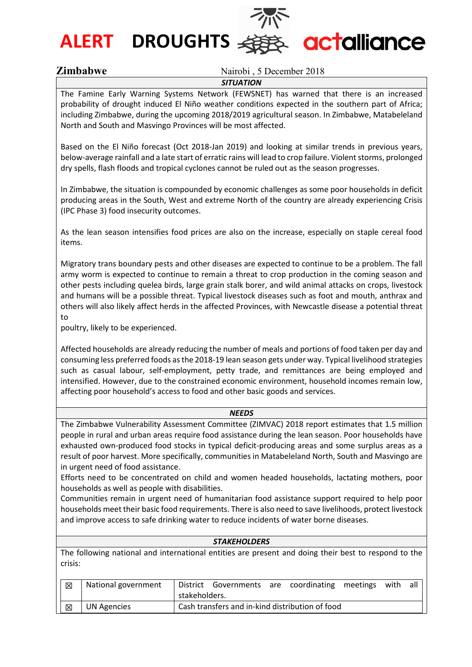**ALERT DROUGHTS**



# **& actalliance**

**Zimbabwe** Nairobi , 5 December 2018

### *SITUATION*

The Famine Early Warning Systems Network (FEWSNET) has warned that there is an increased probability of drought induced El Niño weather conditions expected in the southern part of Africa; including Zimbabwe, during the upcoming 2018/2019 agricultural season. In Zimbabwe, Matabeleland North and South and Masvingo Provinces will be most affected.

Based on the El Niño forecast (Oct 2018-Jan 2019) and looking at similar trends in previous years, below-average rainfall and a late start of erratic rains will lead to crop failure. Violent storms, prolonged dry spells, flash floods and tropical cyclones cannot be ruled out as the season progresses.

In Zimbabwe, the situation is compounded by economic challenges as some poor households in deficit producing areas in the South, West and extreme North of the country are already experiencing Crisis (IPC Phase 3) food insecurity outcomes.

As the lean season intensifies food prices are also on the increase, especially on staple cereal food items.

Migratory trans boundary pests and other diseases are expected to continue to be a problem. The fall army worm is expected to continue to remain a threat to crop production in the coming season and other pests including quelea birds, large grain stalk borer, and wild animal attacks on crops, livestock and humans will be a possible threat. Typical livestock diseases such as foot and mouth, anthrax and others will also likely affect herds in the affected Provinces, with Newcastle disease a potential threat to

poultry, likely to be experienced.

Affected households are already reducing the number of meals and portions of food taken per day and consuming less preferred foods as the 2018-19 lean season gets under way. Typical livelihood strategies such as casual labour, self-employment, petty trade, and remittances are being employed and intensified. However, due to the constrained economic environment, household incomes remain low, affecting poor household's access to food and other basic goods and services.

#### *NEEDS*

The Zimbabwe Vulnerability Assessment Committee (ZIMVAC) 2018 report estimates that 1.5 million people in rural and urban areas require food assistance during the lean season. Poor households have exhausted own-produced food stocks in typical deficit-producing areas and some surplus areas as a result of poor harvest. More specifically, communities in Matabeleland North, South and Masvingo are in urgent need of food assistance.

Efforts need to be concentrated on child and women headed households, lactating mothers, poor households as well as people with disabilities.

Communities remain in urgent need of humanitarian food assistance support required to help poor households meet their basic food requirements. There is also need to save livelihoods, protect livestock and improve access to safe drinking water to reduce incidents of water borne diseases.

#### *STAKEHOLDERS*

The following national and international entities are present and doing their best to respond to the crisis:

| $\boxtimes$ | National government | all<br>District Governments are coordinating<br>meetings<br>with |
|-------------|---------------------|------------------------------------------------------------------|
|             |                     | stakeholders.                                                    |
| 区           | <b>UN Agencies</b>  | Cash transfers and in-kind distribution of food                  |